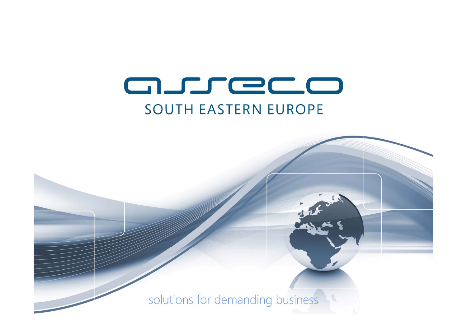# asreco **SOUTH EASTERN EUROPE**

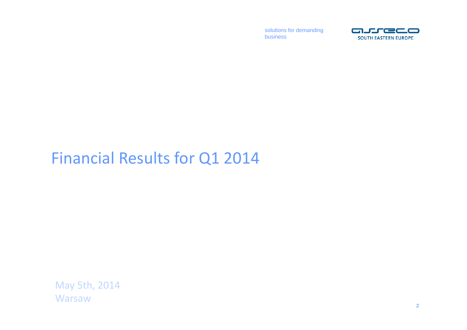solutions for demanding business



## Financial Results for Q1 2014

May 5th, 2014 **Warsaw**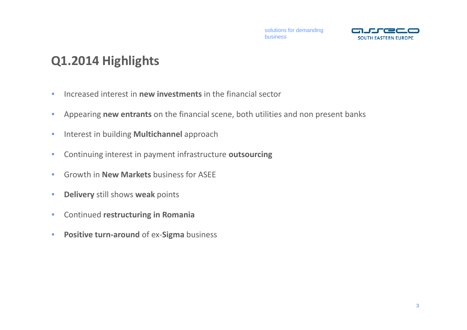

### **Q1.2014 Highlights**

- $\bullet$ Increased interest in **new investments** in the financial sector
- •Appearing **new entrants** on the financial scene, both utilities and non present banks
- •**• Interest in building Multichannel approach**
- $\bullet$ Continuing interest in payment infrastructure **outsourcing**
- •Growth in **New Markets** business for ASEE
- $\bullet$ **Delivery** still shows **weak** points
- $\bullet$ Continued **restructuring in Romania**
- $\bullet$ **Positive turn‐around** of ex‐**Sigma** business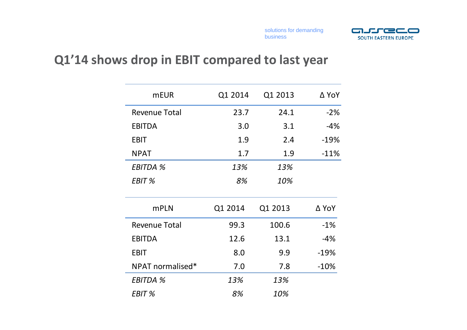

### **Q1'14 shows drop in EBIT compared to last year**

| <b>mEUR</b>          | Q1 2014 | Q1 2013 | ∆ YoY  |
|----------------------|---------|---------|--------|
| <b>Revenue Total</b> | 23.7    | 24.1    | $-2%$  |
| <b>EBITDA</b>        | 3.0     | 3.1     | $-4%$  |
| <b>EBIT</b>          | 1.9     | 2.4     | $-19%$ |
| <b>NPAT</b>          | 1.7     | 1.9     | $-11%$ |
| <b>EBITDA %</b>      | 13%     | 13%     |        |
| EBIT %               | 8%      | 10%     |        |
| <b>mPLN</b>          | Q1 2014 | Q1 2013 | ∆ YoY  |
| <b>Revenue Total</b> | 99.3    | 100.6   | $-1%$  |
| <b>EBITDA</b>        | 12.6    | 13.1    | $-4%$  |
| <b>EBIT</b>          | 8.0     | 9.9     | $-19%$ |
| NPAT normalised*     | 7.0     | 7.8     | $-10%$ |
| <b>EBITDA %</b>      | 13%     | 13%     |        |
| EBIT %               | 8%      | 10%     |        |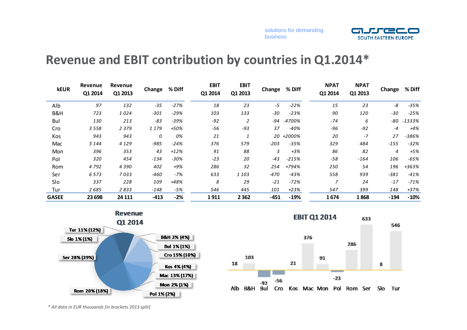

### **Revenue and EBIT contribution by countries in Q1.2014\***

| <b>kEUR</b>  | Revenue<br>Q1 2014 | Revenue<br>Q1 2013 | Change | % Diff | <b>EBIT</b><br>Q1 2014 | <b>EBIT</b><br>Q1 2013 | Change | % Diff    | <b>NPAT</b><br>Q1 2014 | <b>NPAT</b><br>Q1 2013 | Change | % Diff  |
|--------------|--------------------|--------------------|--------|--------|------------------------|------------------------|--------|-----------|------------------------|------------------------|--------|---------|
| Alb          | 97                 | 132                | $-35$  | $-27%$ | 18                     | 23                     | -5     | $-22%$    | 15                     | 23                     | -8     | $-35%$  |
| B&H          | 723                | 1024               | $-301$ | $-29%$ | 103                    | 133                    | $-30$  | $-23%$    | 90                     | 120                    | $-30$  | $-25%$  |
| Bul          | 130                | 213                | $-83$  | -39%   | $-92$                  | 2                      | -94    | -4700%    | $-74$                  | 6                      | -80    | -1333%  |
| Cro          | 3558               | 2 3 7 9            | 1179   | +50%   | -56                    | $-93$                  | 37     | $-40%$    | $-96$                  | $-92$                  | $-4$   | $+4%$   |
| Kos          | 943                | 943                | 0      | 0%     | 21                     | $\mathbf{1}$           |        | 20 +2000% | 20                     | $-7$                   | 27     | $-386%$ |
| Mac          | 3 1 4 4            | 4 1 2 9            | $-985$ | $-24%$ | 376                    | 579                    | $-203$ | $-35%$    | 329                    | 484                    | $-155$ | $-32%$  |
| Mon          | 396                | 353                | 43     | $+12%$ | 91                     | 88                     | 3      | $+3%$     | 86                     | 82                     | 4      | $+5%$   |
| Pol          | 320                | 454                | $-134$ | $-30%$ | $-23$                  | 20                     | $-43$  | $-215%$   | $-58$                  | $-164$                 | 106    | $-65%$  |
| Rom          | 4 7 9 2            | 4390               | 402    | $+9%$  | 286                    | 32                     | 254    | +794%     | 250                    | 54                     | 196    | +363%   |
| Ser          | 6573               | 7033               | -460   | $-7%$  | 633                    | 1 1 0 3                | $-470$ | $-43%$    | 558                    | 939                    | $-381$ | $-41%$  |
| Slo          | 337                | 228                | 109    | +48%   | 8                      | 29                     | $-21$  | $-72%$    | $\overline{z}$         | 24                     | $-17$  | $-71%$  |
| Tur          | 2685               | 2833               | $-148$ | -5%    | 546                    | 445                    | 101    | $+23%$    | 547                    | 399                    | 148    | +37%    |
| <b>GASEE</b> | 23 698             | 24 111             | $-413$ | $-2%$  | 1911                   | 2 3 6 2                | $-451$ | $-19%$    | 1674                   | 1868                   | $-194$ | $-10%$  |





*\* All data in EUR thousands [in brackets 2013 split]*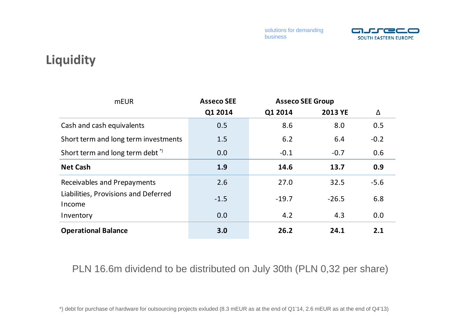solutions for demanding business



### **Liquidity**

| <b>mEUR</b>                                    | <b>Asseco SEE</b> | <b>Asseco SEE Group</b> |                |        |
|------------------------------------------------|-------------------|-------------------------|----------------|--------|
|                                                | Q1 2014           | Q1 2014                 | <b>2013 YE</b> | Δ      |
| Cash and cash equivalents                      | 0.5               | 8.6                     | 8.0            | 0.5    |
| Short term and long term investments           | 1.5               | 6.2                     | 6.4            | $-0.2$ |
| Short term and long term debt <sup>*</sup>     | 0.0               | $-0.1$                  | $-0.7$         | 0.6    |
| <b>Net Cash</b>                                | 1.9               | 14.6                    | 13.7           | 0.9    |
| Receivables and Prepayments                    | 2.6               | 27.0                    | 32.5           | $-5.6$ |
| Liabilities, Provisions and Deferred<br>Income | $-1.5$            | $-19.7$                 | $-26.5$        | 6.8    |
| Inventory                                      | 0.0               | 4.2                     | 4.3            | 0.0    |
| <b>Operational Balance</b>                     | 3.0               | 26.2                    | 24.1           | 2.1    |

PLN 16.6m dividend to be distributed on July 30th (PLN 0,32 per share)

\*) debt for purchase of hardware for outsourcing projects exluded (8.3 mEUR as at the end of Q1'14, 2.6 mEUR as at the end of Q4'13)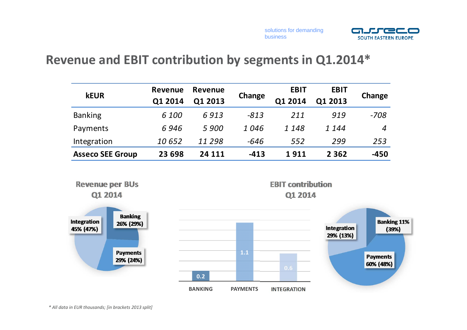



### **Revenue and EBIT contribution by segments in Q1.2014\***

| <b>kEUR</b>             | <b>Revenue</b> | Revenue | Change | <b>EBIT</b> | <b>EBIT</b> |                  |
|-------------------------|----------------|---------|--------|-------------|-------------|------------------|
|                         | Q1 2014        | Q1 2013 |        | Q1 2014     | Q1 2013     | Change           |
| <b>Banking</b>          | 6 100          | 6913    | $-813$ | 211         | 919         | $-708$           |
| Payments                | 6946           | 5 900   | 1046   | 1 1 4 8     | 1 144       | $\boldsymbol{4}$ |
| Integration             | 10652          | 11 298  | -646   | 552         | 299         | 253              |
| <b>Asseco SEE Group</b> | 23 698         | 24 111  | $-413$ | 1911        | 2 3 6 2     | $-450$           |

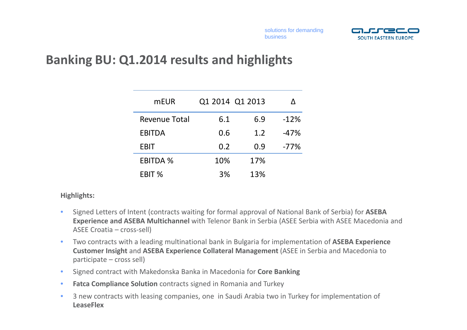

### **Banking BU: Q1.2014 results and highlights**

| <b>mEUR</b>     | Q1 2014 Q1 2013 |     |        |
|-----------------|-----------------|-----|--------|
| Revenue Total   | 6.1             | 6.9 | $-12%$ |
| <b>EBITDA</b>   | 0.6             | 1.2 | $-47%$ |
| <b>EBIT</b>     | 0.2             | 0.9 | $-77%$ |
| <b>EBITDA %</b> | 10%             | 17% |        |
| EBIT %          | 3%              | 13% |        |

#### **Highlights:**

- $\bullet$  Signed Letters of Intent (contracts waiting for formal approval of National Bank of Serbia) for **ASEBA Experience and ASEBA Multichannel** with Telenor Bank in Serbia (ASEE Serbia with ASEE Macedonia and ASEE Croatia – cross‐sell)
- $\bullet$  Two contracts with <sup>a</sup> leading multinational bank in Bulgaria for implementation of **ASEBA Experience Customer Insight** and **ASEBA Experience Collateral Management** (ASEE in Serbia and Macedonia to participate – cross sell)
- •Signed contract with Makedonska Banka in Macedonia for **Core Banking**
- •**Fatca Compliance Solution** contracts signed in Romania and Turkey
- $\bullet$ • 3 new contracts with leasing companies, one in Saudi Arabia two in Turkey for implementation of **LeaseFlex**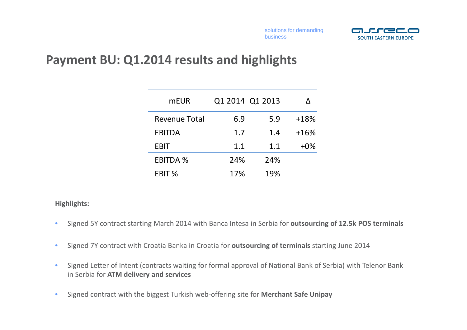

### **Payment BU: Q1.2014 results and highlights**

| <b>mEUR</b>          | Q1 2014 Q1 2013 |     |        |
|----------------------|-----------------|-----|--------|
| <b>Revenue Total</b> | 6.9             | 5.9 | $+18%$ |
| <b>EBITDA</b>        | 1.7             | 1.4 | $+16%$ |
| <b>EBIT</b>          | 1.1             | 1.1 | $+0\%$ |
| <b>EBITDA %</b>      | 24%             | 24% |        |
| EBIT %               | 17%             | 19% |        |

#### **Highlights:**

- $\bullet$ Signed 5Y contract starting March 2014 with Banca Intesa in Serbia for **outsourcing of 12.5k POS terminals**
- •Signed 7Y contract with Croatia Banka in Croatia for **outsourcing of terminals** starting June 2014
- • Signed Letter of Intent (contracts waiting for formal approval of National Bank of Serbia) with Telenor Bank in Serbia for **ATM delivery and services**
- $\bullet$ Signed contract with the biggest Turkish web‐offering site for **Merchant Safe Unipay**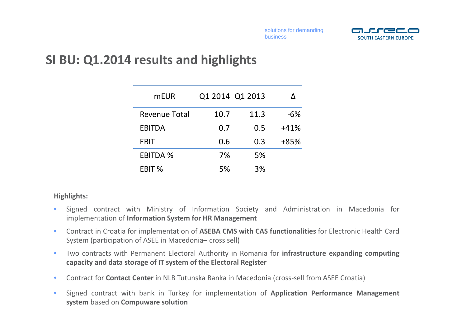

### **SI BU: Q1.2014 results and highlights**

| mEUR            | Q1 2014 Q1 2013 |      |        |
|-----------------|-----------------|------|--------|
| Revenue Total   | 10.7            | 11.3 | $-6%$  |
| <b>EBITDA</b>   | 0.7             | 0.5  | $+41%$ |
| <b>EBIT</b>     | 0.6             | 0.3  | $+85%$ |
| <b>EBITDA %</b> | 7%              | 5%   |        |
| EBIT %          | 5%              | 3%   |        |

#### **Highlights:**

- • Signed contract with Ministry of Information Society and Administration in Macedonia for implementation of **Information System for HR Management**
- • Contract in Croatia for implementation of **ASEBA CMS with CAS functionalities** for Electronic Health Card System (participation of ASEE in Macedonia– cross sell)
- • Two contracts with Permanent Electoral Authority in Romania for **infrastructure expanding computing capacity and data storage of IT system of the Electoral Register**
- •**• Contract for Contact Center** in NLB Tutunska Banka in Macedonia (cross-sell from ASEE Croatia)
- • Signed contract with bank in Turkey for implementation of **Application Performance Management system** based on **Compuware solution**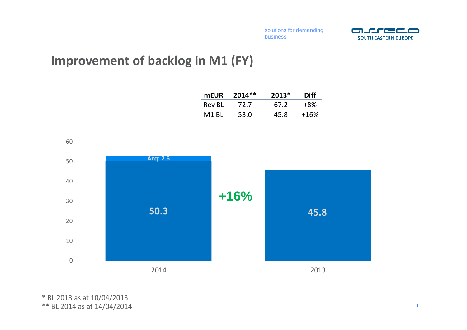

### **Improvement of backlog in M1 (FY)**

| <b>mEUR</b> | 2014** | $2013*$ | Diff   |
|-------------|--------|---------|--------|
| Rev BL      | 72.7   | 67.2    | $+8\%$ |
| M1 RL       | 53.0   | 45.8    | $+16%$ |



\* BL 2013 as at 10/04/2013 \*\* BL 2014 as at 14/04/2014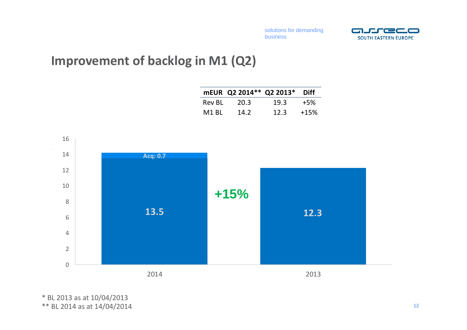

### **Improvement of backlog in M1 (Q2)**



\* BL 2013 as at 10/04/2013 \*\* BL 2014 as at 14/04/2014